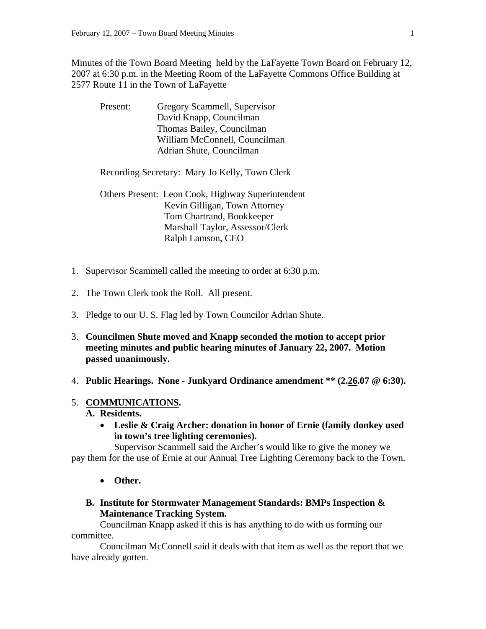Minutes of the Town Board Meeting held by the LaFayette Town Board on February 12, 2007 at 6:30 p.m. in the Meeting Room of the LaFayette Commons Office Building at 2577 Route 11 in the Town of LaFayette

| Present: | Gregory Scammell, Supervisor                   |
|----------|------------------------------------------------|
|          | David Knapp, Councilman                        |
|          | Thomas Bailey, Councilman                      |
|          | William McConnell, Councilman                  |
|          | Adrian Shute, Councilman                       |
|          |                                                |
|          | Recording Secretary: Mary Jo Kelly, Town Clerk |

 Others Present: Leon Cook, Highway Superintendent Kevin Gilligan, Town Attorney Tom Chartrand, Bookkeeper Marshall Taylor, Assessor/Clerk Ralph Lamson, CEO

- 1. Supervisor Scammell called the meeting to order at 6:30 p.m.
- 2. The Town Clerk took the Roll. All present.
- 3. Pledge to our U. S. Flag led by Town Councilor Adrian Shute.
- 3. **Councilmen Shute moved and Knapp seconded the motion to accept prior meeting minutes and public hearing minutes of January 22, 2007. Motion passed unanimously.**
- 4. **Public Hearings. None Junkyard Ordinance amendment \*\* (2.26.07 @ 6:30).**

#### 5. **COMMUNICATIONS.**

- **A. Residents.** 
	- **Leslie & Craig Archer: donation in honor of Ernie (family donkey used in town's tree lighting ceremonies).**

Supervisor Scammell said the Archer's would like to give the money we pay them for the use of Ernie at our Annual Tree Lighting Ceremony back to the Town.

- **Other.**
- **B. Institute for Stormwater Management Standards: BMPs Inspection & Maintenance Tracking System.**

Councilman Knapp asked if this is has anything to do with us forming our committee.

 Councilman McConnell said it deals with that item as well as the report that we have already gotten.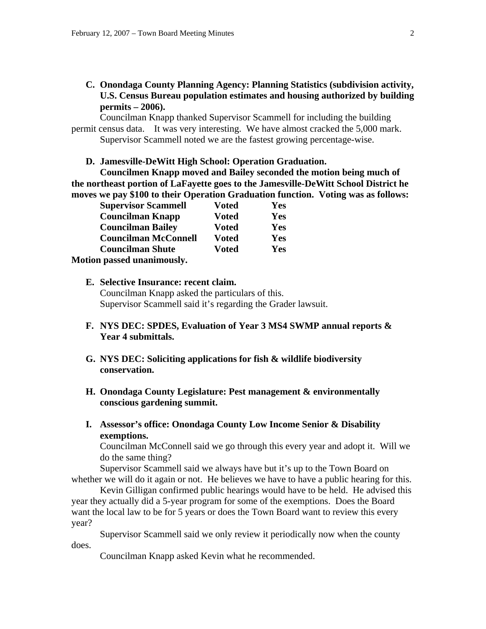**C. Onondaga County Planning Agency: Planning Statistics (subdivision activity, U.S. Census Bureau population estimates and housing authorized by building permits – 2006).** 

Councilman Knapp thanked Supervisor Scammell for including the building permit census data. It was very interesting. We have almost cracked the 5,000 mark. Supervisor Scammell noted we are the fastest growing percentage-wise.

**D. Jamesville-DeWitt High School: Operation Graduation.** 

**Councilmen Knapp moved and Bailey seconded the motion being much of the northeast portion of LaFayette goes to the Jamesville-DeWitt School District he moves we pay \$100 to their Operation Graduation function. Voting was as follows:** 

| <b>Supervisor Scammell</b>  | <b>Voted</b> | Yes        |
|-----------------------------|--------------|------------|
| <b>Councilman Knapp</b>     | <b>Voted</b> | <b>Yes</b> |
| <b>Councilman Bailey</b>    | <b>Voted</b> | Yes        |
| <b>Councilman McConnell</b> | <b>Voted</b> | Yes        |
| <b>Councilman Shute</b>     | <b>Voted</b> | Yes        |
| Motion passed unanimously.  |              |            |

- **E. Selective Insurance: recent claim.**  Councilman Knapp asked the particulars of this. Supervisor Scammell said it's regarding the Grader lawsuit.
- **F. NYS DEC: SPDES, Evaluation of Year 3 MS4 SWMP annual reports & Year 4 submittals.**
- **G. NYS DEC: Soliciting applications for fish & wildlife biodiversity conservation.**
- **H. Onondaga County Legislature: Pest management & environmentally conscious gardening summit.**
- **I. Assessor's office: Onondaga County Low Income Senior & Disability exemptions.**

Councilman McConnell said we go through this every year and adopt it. Will we do the same thing?

 Supervisor Scammell said we always have but it's up to the Town Board on whether we will do it again or not. He believes we have to have a public hearing for this.

 Kevin Gilligan confirmed public hearings would have to be held. He advised this year they actually did a 5-year program for some of the exemptions. Does the Board want the local law to be for 5 years or does the Town Board want to review this every year?

 Supervisor Scammell said we only review it periodically now when the county does.

Councilman Knapp asked Kevin what he recommended.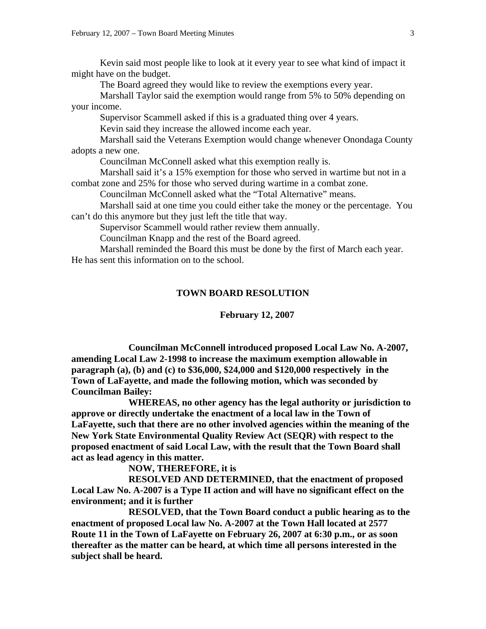Kevin said most people like to look at it every year to see what kind of impact it might have on the budget.

The Board agreed they would like to review the exemptions every year.

 Marshall Taylor said the exemption would range from 5% to 50% depending on your income.

Supervisor Scammell asked if this is a graduated thing over 4 years.

Kevin said they increase the allowed income each year.

 Marshall said the Veterans Exemption would change whenever Onondaga County adopts a new one.

Councilman McConnell asked what this exemption really is.

 Marshall said it's a 15% exemption for those who served in wartime but not in a combat zone and 25% for those who served during wartime in a combat zone.

Councilman McConnell asked what the "Total Alternative" means.

 Marshall said at one time you could either take the money or the percentage. You can't do this anymore but they just left the title that way.

Supervisor Scammell would rather review them annually.

Councilman Knapp and the rest of the Board agreed.

 Marshall reminded the Board this must be done by the first of March each year. He has sent this information on to the school.

#### **TOWN BOARD RESOLUTION**

#### **February 12, 2007**

 **Councilman McConnell introduced proposed Local Law No. A-2007, amending Local Law 2-1998 to increase the maximum exemption allowable in paragraph (a), (b) and (c) to \$36,000, \$24,000 and \$120,000 respectively in the Town of LaFayette, and made the following motion, which was seconded by Councilman Bailey:** 

 **WHEREAS, no other agency has the legal authority or jurisdiction to approve or directly undertake the enactment of a local law in the Town of LaFayette, such that there are no other involved agencies within the meaning of the New York State Environmental Quality Review Act (SEQR) with respect to the proposed enactment of said Local Law, with the result that the Town Board shall act as lead agency in this matter.** 

 **NOW, THEREFORE, it is** 

 **RESOLVED AND DETERMINED, that the enactment of proposed Local Law No. A-2007 is a Type II action and will have no significant effect on the environment; and it is further** 

 **RESOLVED, that the Town Board conduct a public hearing as to the enactment of proposed Local law No. A-2007 at the Town Hall located at 2577 Route 11 in the Town of LaFayette on February 26, 2007 at 6:30 p.m., or as soon thereafter as the matter can be heard, at which time all persons interested in the subject shall be heard.**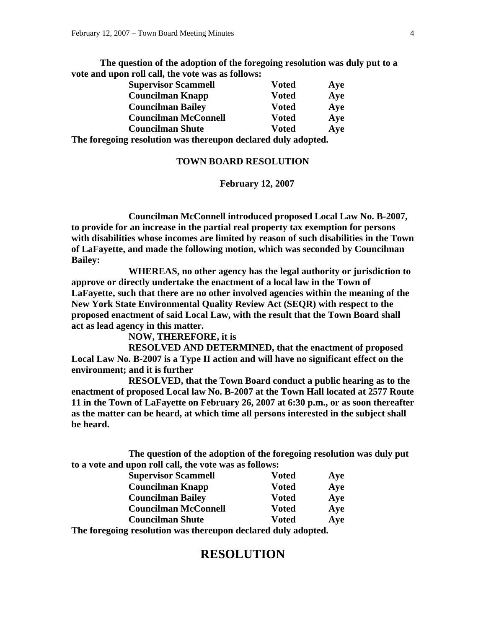**The question of the adoption of the foregoing resolution was duly put to a vote and upon roll call, the vote was as follows:** 

| <b>Supervisor Scammell</b>  | <b>Voted</b> | Aye |
|-----------------------------|--------------|-----|
| <b>Councilman Knapp</b>     | <b>Voted</b> | Aye |
| <b>Councilman Bailey</b>    | <b>Voted</b> | Aye |
| <b>Councilman McConnell</b> | <b>Voted</b> | Aye |
| <b>Councilman Shute</b>     | <b>Voted</b> | Aye |
|                             | .            |     |

**The foregoing resolution was thereupon declared duly adopted.** 

#### **TOWN BOARD RESOLUTION**

#### **February 12, 2007**

 **Councilman McConnell introduced proposed Local Law No. B-2007, to provide for an increase in the partial real property tax exemption for persons with disabilities whose incomes are limited by reason of such disabilities in the Town of LaFayette, and made the following motion, which was seconded by Councilman Bailey:** 

 **WHEREAS, no other agency has the legal authority or jurisdiction to approve or directly undertake the enactment of a local law in the Town of LaFayette, such that there are no other involved agencies within the meaning of the New York State Environmental Quality Review Act (SEQR) with respect to the proposed enactment of said Local Law, with the result that the Town Board shall act as lead agency in this matter.** 

 **NOW, THEREFORE, it is** 

 **RESOLVED AND DETERMINED, that the enactment of proposed Local Law No. B-2007 is a Type II action and will have no significant effect on the environment; and it is further** 

 **RESOLVED, that the Town Board conduct a public hearing as to the enactment of proposed Local law No. B-2007 at the Town Hall located at 2577 Route 11 in the Town of LaFayette on February 26, 2007 at 6:30 p.m., or as soon thereafter as the matter can be heard, at which time all persons interested in the subject shall be heard.** 

 **The question of the adoption of the foregoing resolution was duly put to a vote and upon roll call, the vote was as follows:** 

| <b>Supervisor Scammell</b>                             | <b>Voted</b> | Aye |
|--------------------------------------------------------|--------------|-----|
| <b>Councilman Knapp</b>                                | <b>Voted</b> | Aye |
| <b>Councilman Bailey</b>                               | <b>Voted</b> | Aye |
| <b>Councilman McConnell</b>                            | <b>Voted</b> | Aye |
| <b>Councilman Shute</b>                                | Voted        | Aye |
| text of a resolution was thousan deelered duly adopted |              |     |

**The foregoing resolution was thereupon declared duly adopted.** 

# **RESOLUTION**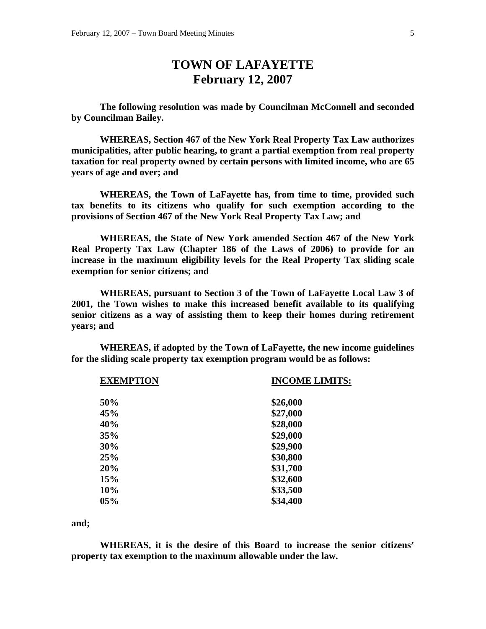# **TOWN OF LAFAYETTE February 12, 2007**

 **The following resolution was made by Councilman McConnell and seconded by Councilman Bailey.** 

 **WHEREAS, Section 467 of the New York Real Property Tax Law authorizes municipalities, after public hearing, to grant a partial exemption from real property taxation for real property owned by certain persons with limited income, who are 65 years of age and over; and** 

 **WHEREAS, the Town of LaFayette has, from time to time, provided such tax benefits to its citizens who qualify for such exemption according to the provisions of Section 467 of the New York Real Property Tax Law; and** 

 **WHEREAS, the State of New York amended Section 467 of the New York Real Property Tax Law (Chapter 186 of the Laws of 2006) to provide for an increase in the maximum eligibility levels for the Real Property Tax sliding scale exemption for senior citizens; and** 

 **WHEREAS, pursuant to Section 3 of the Town of LaFayette Local Law 3 of 2001, the Town wishes to make this increased benefit available to its qualifying senior citizens as a way of assisting them to keep their homes during retirement years; and** 

 **WHEREAS, if adopted by the Town of LaFayette, the new income guidelines for the sliding scale property tax exemption program would be as follows:** 

| <b>EXEMPTION</b> | <b>INCOME LIMITS:</b> |
|------------------|-----------------------|
| 50%              | \$26,000              |
| 45%              | \$27,000              |
| 40%              | \$28,000              |
| 35%              | \$29,000              |
| 30%              | \$29,900              |
| 25%              | \$30,800              |
| 20%              | \$31,700              |
| 15%              | \$32,600              |
| 10%              | \$33,500              |
| 05%              | \$34,400              |
|                  |                       |

**and;** 

 **WHEREAS, it is the desire of this Board to increase the senior citizens' property tax exemption to the maximum allowable under the law.**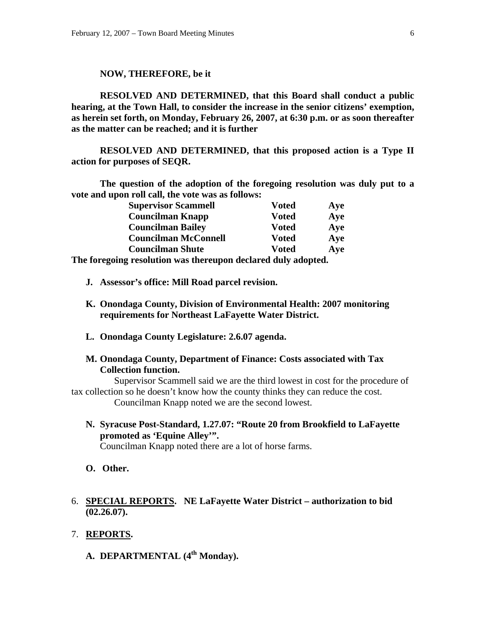#### **NOW, THEREFORE, be it**

 **RESOLVED AND DETERMINED, that this Board shall conduct a public hearing, at the Town Hall, to consider the increase in the senior citizens' exemption, as herein set forth, on Monday, February 26, 2007, at 6:30 p.m. or as soon thereafter as the matter can be reached; and it is further** 

 **RESOLVED AND DETERMINED, that this proposed action is a Type II action for purposes of SEQR.** 

 **The question of the adoption of the foregoing resolution was duly put to a vote and upon roll call, the vote was as follows:** 

| <b>Supervisor Scammell</b>  | <b>Voted</b> | Aye |
|-----------------------------|--------------|-----|
| <b>Councilman Knapp</b>     | <b>Voted</b> | Aye |
| <b>Councilman Bailey</b>    | <b>Voted</b> | Aye |
| <b>Councilman McConnell</b> | <b>Voted</b> | Aye |
| <b>Councilman Shute</b>     | <b>Voted</b> | Aye |
|                             |              |     |

**The foregoing resolution was thereupon declared duly adopted.** 

- **J. Assessor's office: Mill Road parcel revision.**
- **K. Onondaga County, Division of Environmental Health: 2007 monitoring requirements for Northeast LaFayette Water District.**
- **L. Onondaga County Legislature: 2.6.07 agenda.**
- **M. Onondaga County, Department of Finance: Costs associated with Tax Collection function.**

Supervisor Scammell said we are the third lowest in cost for the procedure of tax collection so he doesn't know how the county thinks they can reduce the cost. Councilman Knapp noted we are the second lowest.

**N. Syracuse Post-Standard, 1.27.07: "Route 20 from Brookfield to LaFayette promoted as 'Equine Alley'".** 

Councilman Knapp noted there are a lot of horse farms.

- **O. Other.**
- 6. **SPECIAL REPORTS. NE LaFayette Water District authorization to bid (02.26.07).**
- 7. **REPORTS.**

**A. DEPARTMENTAL (4th Monday).**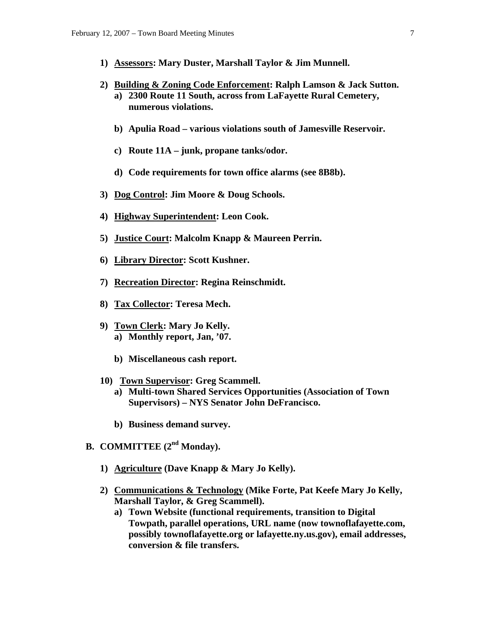- **1) Assessors: Mary Duster, Marshall Taylor & Jim Munnell.**
- **2) Building & Zoning Code Enforcement: Ralph Lamson & Jack Sutton. a) 2300 Route 11 South, across from LaFayette Rural Cemetery, numerous violations.** 
	- **b) Apulia Road various violations south of Jamesville Reservoir.**
	- **c) Route 11A junk, propane tanks/odor.**
	- **d) Code requirements for town office alarms (see 8B8b).**
- **3) Dog Control: Jim Moore & Doug Schools.**
- **4) Highway Superintendent: Leon Cook.**
- **5) Justice Court: Malcolm Knapp & Maureen Perrin.**
- **6) Library Director: Scott Kushner.**
- **7) Recreation Director: Regina Reinschmidt.**
- **8) Tax Collector: Teresa Mech.**
- **9) Town Clerk: Mary Jo Kelly. a) Monthly report, Jan, '07.** 
	- **b) Miscellaneous cash report.**
- **10) Town Supervisor: Greg Scammell.** 
	- **a) Multi-town Shared Services Opportunities (Association of Town Supervisors) – NYS Senator John DeFrancisco.**
	- **b) Business demand survey.**
- **B. COMMITTEE (2nd Monday).** 
	- **1) Agriculture (Dave Knapp & Mary Jo Kelly).**
	- **2) Communications & Technology (Mike Forte, Pat Keefe Mary Jo Kelly, Marshall Taylor, & Greg Scammell).** 
		- **a) Town Website (functional requirements, transition to Digital Towpath, parallel operations, URL name (now townoflafayette.com, possibly townoflafayette.org or lafayette.ny.us.gov), email addresses, conversion & file transfers.**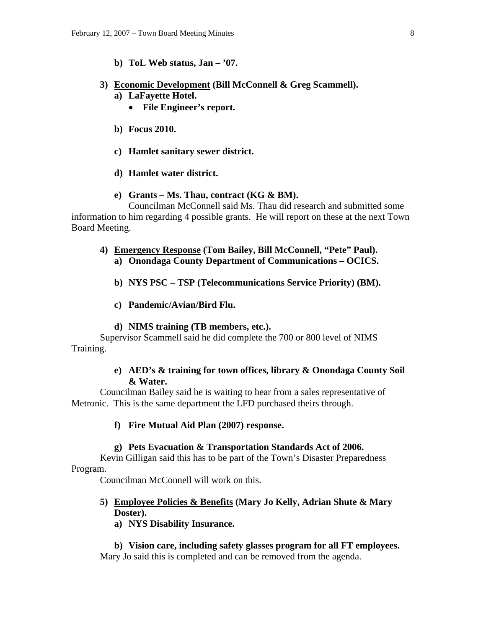#### **b) ToL Web status, Jan – '07.**

#### **3) Economic Development (Bill McConnell & Greg Scammell).**

- **a) LaFayette Hotel.** 
	- **File Engineer's report.**
- **b) Focus 2010.**
- **c) Hamlet sanitary sewer district.**
- **d) Hamlet water district.**

#### **e) Grants – Ms. Thau, contract (KG & BM).**

Councilman McConnell said Ms. Thau did research and submitted some information to him regarding 4 possible grants. He will report on these at the next Town Board Meeting.

- **4) Emergency Response (Tom Bailey, Bill McConnell, "Pete" Paul). a) Onondaga County Department of Communications – OCICS.** 
	- **b) NYS PSC TSP (Telecommunications Service Priority) (BM).**
	- **c) Pandemic/Avian/Bird Flu.**

#### **d) NIMS training (TB members, etc.).**

Supervisor Scammell said he did complete the 700 or 800 level of NIMS Training.

#### **e) AED's & training for town offices, library & Onondaga County Soil & Water.**

Councilman Bailey said he is waiting to hear from a sales representative of Metronic. This is the same department the LFD purchased theirs through.

#### **f) Fire Mutual Aid Plan (2007) response.**

#### **g) Pets Evacuation & Transportation Standards Act of 2006.**

Kevin Gilligan said this has to be part of the Town's Disaster Preparedness Program.

Councilman McConnell will work on this.

### **5) Employee Policies & Benefits (Mary Jo Kelly, Adrian Shute & Mary Doster).**

**a) NYS Disability Insurance.** 

**b) Vision care, including safety glasses program for all FT employees.**  Mary Jo said this is completed and can be removed from the agenda.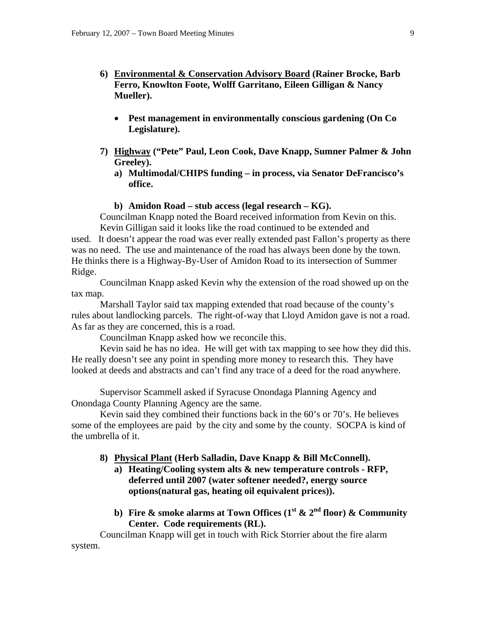- **6) Environmental & Conservation Advisory Board (Rainer Brocke, Barb Ferro, Knowlton Foote, Wolff Garritano, Eileen Gilligan & Nancy Mueller).** 
	- **Pest management in environmentally conscious gardening (On Co Legislature).**
- **7) Highway ("Pete" Paul, Leon Cook, Dave Knapp, Sumner Palmer & John Greeley).** 
	- **a) Multimodal/CHIPS funding in process, via Senator DeFrancisco's office.**

#### **b) Amidon Road – stub access (legal research – KG).**

Councilman Knapp noted the Board received information from Kevin on this. Kevin Gilligan said it looks like the road continued to be extended and

used. It doesn't appear the road was ever really extended past Fallon's property as there was no need. The use and maintenance of the road has always been done by the town. He thinks there is a Highway-By-User of Amidon Road to its intersection of Summer Ridge.

 Councilman Knapp asked Kevin why the extension of the road showed up on the tax map.

 Marshall Taylor said tax mapping extended that road because of the county's rules about landlocking parcels. The right-of-way that Lloyd Amidon gave is not a road. As far as they are concerned, this is a road.

Councilman Knapp asked how we reconcile this.

 Kevin said he has no idea. He will get with tax mapping to see how they did this. He really doesn't see any point in spending more money to research this. They have looked at deeds and abstracts and can't find any trace of a deed for the road anywhere.

Supervisor Scammell asked if Syracuse Onondaga Planning Agency and Onondaga County Planning Agency are the same.

 Kevin said they combined their functions back in the 60's or 70's. He believes some of the employees are paid by the city and some by the county. SOCPA is kind of the umbrella of it.

#### **8) Physical Plant (Herb Salladin, Dave Knapp & Bill McConnell).**

- **a) Heating/Cooling system alts & new temperature controls RFP, deferred until 2007 (water softener needed?, energy source options(natural gas, heating oil equivalent prices)).**
- **b)** Fire & smoke alarms at Town Offices  $(1^{\text{st}} \& 2^{\text{nd}} \text{ floor}) \& \text{ Community}$ **Center. Code requirements (RL).**

Councilman Knapp will get in touch with Rick Storrier about the fire alarm system.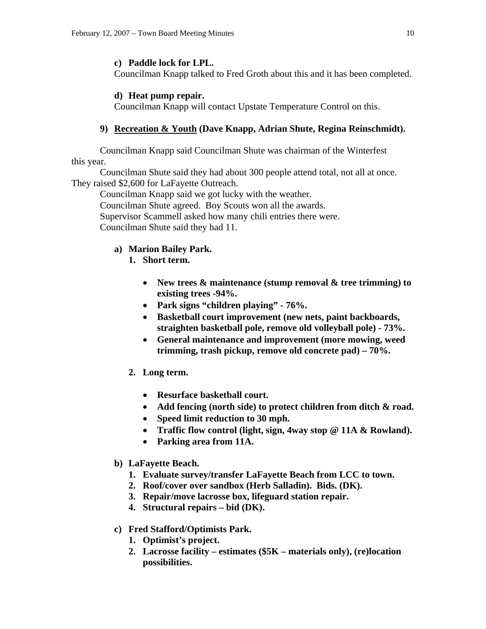### **c) Paddle lock for LPL.**

Councilman Knapp talked to Fred Groth about this and it has been completed.

#### **d) Heat pump repair.**

Councilman Knapp will contact Upstate Temperature Control on this.

### **9) Recreation & Youth (Dave Knapp, Adrian Shute, Regina Reinschmidt).**

Councilman Knapp said Councilman Shute was chairman of the Winterfest this year.

 Councilman Shute said they had about 300 people attend total, not all at once. They raised \$2,600 for LaFayette Outreach.

 Councilman Knapp said we got lucky with the weather. Councilman Shute agreed. Boy Scouts won all the awards. Supervisor Scammell asked how many chili entries there were. Councilman Shute said they had 11.

### **a) Marion Bailey Park.**

- **1. Short term.** 
	- **New trees & maintenance (stump removal & tree trimming) to existing trees -94%.**
	- **Park signs "children playing" 76%.**
	- **Basketball court improvement (new nets, paint backboards, straighten basketball pole, remove old volleyball pole) - 73%.**
	- **General maintenance and improvement (more mowing, weed trimming, trash pickup, remove old concrete pad) – 70%.**
- **2. Long term.** 
	- **Resurface basketball court.**
	- **Add fencing (north side) to protect children from ditch & road.**
	- **Speed limit reduction to 30 mph.**
	- **Traffic flow control (light, sign, 4way stop @ 11A & Rowland).**
	- **Parking area from 11A.**
- **b) LaFayette Beach.** 
	- **1. Evaluate survey/transfer LaFayette Beach from LCC to town.**
	- **2. Roof/cover over sandbox (Herb Salladin). Bids. (DK).**
	- **3. Repair/move lacrosse box, lifeguard station repair.**
	- **4. Structural repairs bid (DK).**

### **c) Fred Stafford/Optimists Park.**

- **1. Optimist's project.**
- **2. Lacrosse facility estimates (\$5K materials only), (re)location possibilities.**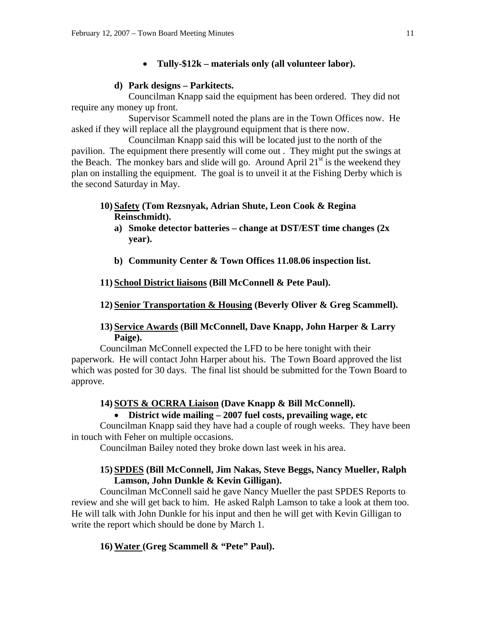### • **Tully-\$12k – materials only (all volunteer labor).**

### **d) Park designs – Parkitects.**

Councilman Knapp said the equipment has been ordered. They did not require any money up front.

 Supervisor Scammell noted the plans are in the Town Offices now. He asked if they will replace all the playground equipment that is there now.

 Councilman Knapp said this will be located just to the north of the pavilion. The equipment there presently will come out . They might put the swings at the Beach. The monkey bars and slide will go. Around April  $21<sup>st</sup>$  is the weekend they plan on installing the equipment. The goal is to unveil it at the Fishing Derby which is the second Saturday in May.

### **10) Safety (Tom Rezsnyak, Adrian Shute, Leon Cook & Regina Reinschmidt).**

- **a) Smoke detector batteries change at DST/EST time changes (2x year).**
- **b) Community Center & Town Offices 11.08.06 inspection list.**

### **11) School District liaisons (Bill McConnell & Pete Paul).**

### **12) Senior Transportation & Housing (Beverly Oliver & Greg Scammell).**

### **13) Service Awards (Bill McConnell, Dave Knapp, John Harper & Larry Paige).**

Councilman McConnell expected the LFD to be here tonight with their paperwork. He will contact John Harper about his. The Town Board approved the list which was posted for 30 days. The final list should be submitted for the Town Board to approve.

### **14) SOTS & OCRRA Liaison (Dave Knapp & Bill McConnell).**

### • **District wide mailing – 2007 fuel costs, prevailing wage, etc**

Councilman Knapp said they have had a couple of rough weeks. They have been in touch with Feher on multiple occasions.

Councilman Bailey noted they broke down last week in his area.

### **15) SPDES (Bill McConnell, Jim Nakas, Steve Beggs, Nancy Mueller, Ralph Lamson, John Dunkle & Kevin Gilligan).**

Councilman McConnell said he gave Nancy Mueller the past SPDES Reports to review and she will get back to him. He asked Ralph Lamson to take a look at them too. He will talk with John Dunkle for his input and then he will get with Kevin Gilligan to write the report which should be done by March 1.

### **16) Water (Greg Scammell & "Pete" Paul).**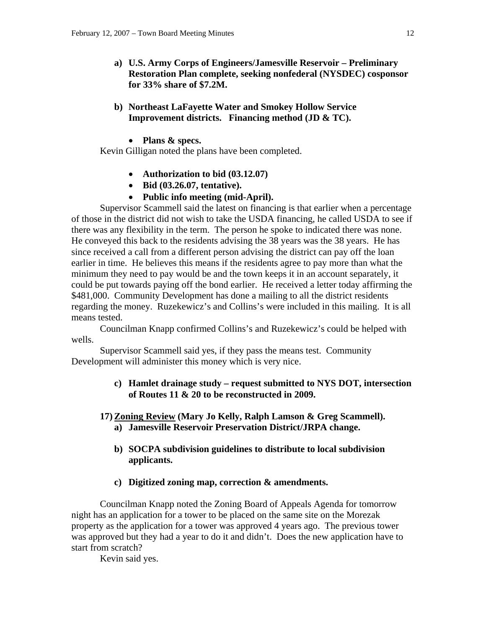- **a) U.S. Army Corps of Engineers/Jamesville Reservoir Preliminary Restoration Plan complete, seeking nonfederal (NYSDEC) cosponsor for 33% share of \$7.2M.**
- **b) Northeast LaFayette Water and Smokey Hollow Service Improvement districts. Financing method (JD & TC).** 
	- **Plans & specs.**

Kevin Gilligan noted the plans have been completed.

- **Authorization to bid (03.12.07)**
- **Bid (03.26.07, tentative).**
- **Public info meeting (mid-April).**

Supervisor Scammell said the latest on financing is that earlier when a percentage of those in the district did not wish to take the USDA financing, he called USDA to see if there was any flexibility in the term. The person he spoke to indicated there was none. He conveyed this back to the residents advising the 38 years was the 38 years. He has since received a call from a different person advising the district can pay off the loan earlier in time. He believes this means if the residents agree to pay more than what the minimum they need to pay would be and the town keeps it in an account separately, it could be put towards paying off the bond earlier. He received a letter today affirming the \$481,000. Community Development has done a mailing to all the district residents regarding the money. Ruzekewicz's and Collins's were included in this mailing. It is all means tested.

 Councilman Knapp confirmed Collins's and Ruzekewicz's could be helped with wells.

 Supervisor Scammell said yes, if they pass the means test. Community Development will administer this money which is very nice.

- **c) Hamlet drainage study request submitted to NYS DOT, intersection of Routes 11 & 20 to be reconstructed in 2009.**
- **17) Zoning Review (Mary Jo Kelly, Ralph Lamson & Greg Scammell). a) Jamesville Reservoir Preservation District/JRPA change.** 
	- **b) SOCPA subdivision guidelines to distribute to local subdivision applicants.**
	- **c) Digitized zoning map, correction & amendments.**

Councilman Knapp noted the Zoning Board of Appeals Agenda for tomorrow night has an application for a tower to be placed on the same site on the Morezak property as the application for a tower was approved 4 years ago. The previous tower was approved but they had a year to do it and didn't. Does the new application have to start from scratch?

Kevin said yes.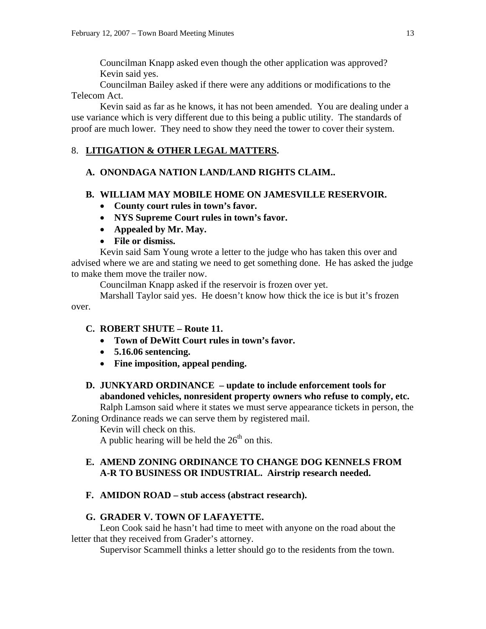Councilman Knapp asked even though the other application was approved? Kevin said yes.

 Councilman Bailey asked if there were any additions or modifications to the Telecom Act.

 Kevin said as far as he knows, it has not been amended. You are dealing under a use variance which is very different due to this being a public utility. The standards of proof are much lower. They need to show they need the tower to cover their system.

### 8. **LITIGATION & OTHER LEGAL MATTERS.**

### **A. ONONDAGA NATION LAND/LAND RIGHTS CLAIM..**

### **B. WILLIAM MAY MOBILE HOME ON JAMESVILLE RESERVOIR.**

- **County court rules in town's favor.**
- **NYS Supreme Court rules in town's favor.**
- **Appealed by Mr. May.**
- **File or dismiss.**

Kevin said Sam Young wrote a letter to the judge who has taken this over and advised where we are and stating we need to get something done. He has asked the judge to make them move the trailer now.

Councilman Knapp asked if the reservoir is frozen over yet.

 Marshall Taylor said yes. He doesn't know how thick the ice is but it's frozen over.

### **C. ROBERT SHUTE – Route 11.**

- **Town of DeWitt Court rules in town's favor.**
- **5.16.06 sentencing.**
- **Fine imposition, appeal pending.**

# **D. JUNKYARD ORDINANCE – update to include enforcement tools for abandoned vehicles, nonresident property owners who refuse to comply, etc.**

Ralph Lamson said where it states we must serve appearance tickets in person, the Zoning Ordinance reads we can serve them by registered mail.

Kevin will check on this.

A public hearing will be held the  $26<sup>th</sup>$  on this.

### **E. AMEND ZONING ORDINANCE TO CHANGE DOG KENNELS FROM A-R TO BUSINESS OR INDUSTRIAL. Airstrip research needed.**

### **F. AMIDON ROAD – stub access (abstract research).**

### **G. GRADER V. TOWN OF LAFAYETTE.**

Leon Cook said he hasn't had time to meet with anyone on the road about the letter that they received from Grader's attorney.

Supervisor Scammell thinks a letter should go to the residents from the town.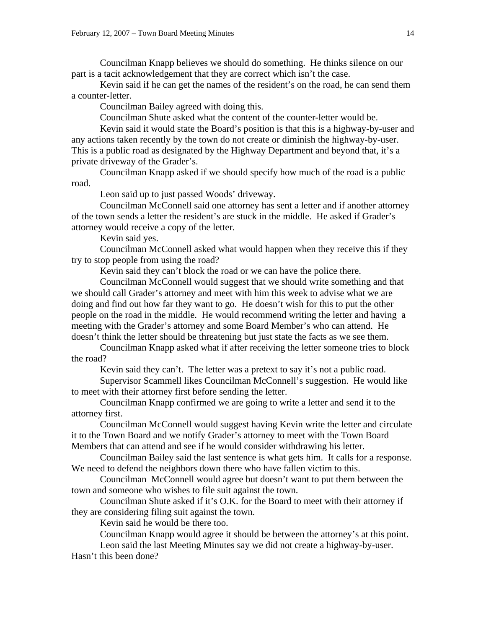Councilman Knapp believes we should do something. He thinks silence on our part is a tacit acknowledgement that they are correct which isn't the case.

 Kevin said if he can get the names of the resident's on the road, he can send them a counter-letter.

Councilman Bailey agreed with doing this.

Councilman Shute asked what the content of the counter-letter would be.

 Kevin said it would state the Board's position is that this is a highway-by-user and any actions taken recently by the town do not create or diminish the highway-by-user. This is a public road as designated by the Highway Department and beyond that, it's a private driveway of the Grader's.

 Councilman Knapp asked if we should specify how much of the road is a public road.

Leon said up to just passed Woods' driveway.

 Councilman McConnell said one attorney has sent a letter and if another attorney of the town sends a letter the resident's are stuck in the middle. He asked if Grader's attorney would receive a copy of the letter.

Kevin said yes.

 Councilman McConnell asked what would happen when they receive this if they try to stop people from using the road?

Kevin said they can't block the road or we can have the police there.

 Councilman McConnell would suggest that we should write something and that we should call Grader's attorney and meet with him this week to advise what we are doing and find out how far they want to go. He doesn't wish for this to put the other people on the road in the middle. He would recommend writing the letter and having a meeting with the Grader's attorney and some Board Member's who can attend. He doesn't think the letter should be threatening but just state the facts as we see them.

 Councilman Knapp asked what if after receiving the letter someone tries to block the road?

Kevin said they can't. The letter was a pretext to say it's not a public road.

 Supervisor Scammell likes Councilman McConnell's suggestion. He would like to meet with their attorney first before sending the letter.

 Councilman Knapp confirmed we are going to write a letter and send it to the attorney first.

 Councilman McConnell would suggest having Kevin write the letter and circulate it to the Town Board and we notify Grader's attorney to meet with the Town Board Members that can attend and see if he would consider withdrawing his letter.

 Councilman Bailey said the last sentence is what gets him. It calls for a response. We need to defend the neighbors down there who have fallen victim to this.

 Councilman McConnell would agree but doesn't want to put them between the town and someone who wishes to file suit against the town.

 Councilman Shute asked if it's O.K. for the Board to meet with their attorney if they are considering filing suit against the town.

Kevin said he would be there too.

Councilman Knapp would agree it should be between the attorney's at this point.

 Leon said the last Meeting Minutes say we did not create a highway-by-user. Hasn't this been done?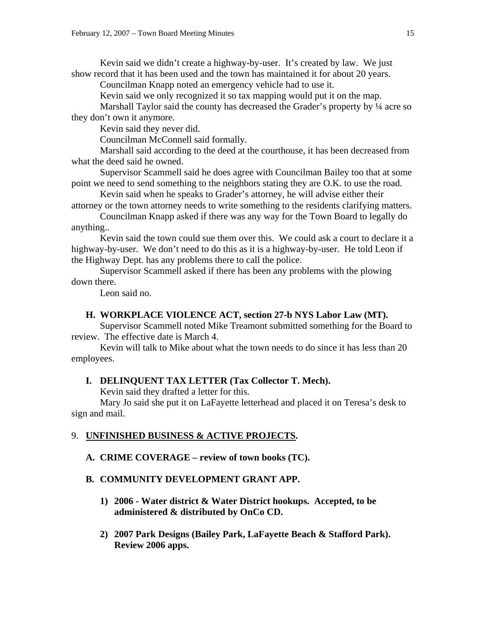Kevin said we didn't create a highway-by-user. It's created by law. We just show record that it has been used and the town has maintained it for about 20 years.

Councilman Knapp noted an emergency vehicle had to use it.

Kevin said we only recognized it so tax mapping would put it on the map.

Marshall Taylor said the county has decreased the Grader's property by  $\frac{1}{4}$  acre so they don't own it anymore.

Kevin said they never did.

Councilman McConnell said formally.

 Marshall said according to the deed at the courthouse, it has been decreased from what the deed said he owned.

 Supervisor Scammell said he does agree with Councilman Bailey too that at some point we need to send something to the neighbors stating they are O.K. to use the road.

 Kevin said when he speaks to Grader's attorney, he will advise either their attorney or the town attorney needs to write something to the residents clarifying matters.

 Councilman Knapp asked if there was any way for the Town Board to legally do anything..

 Kevin said the town could sue them over this. We could ask a court to declare it a highway-by-user. We don't need to do this as it is a highway-by-user. He told Leon if the Highway Dept. has any problems there to call the police.

 Supervisor Scammell asked if there has been any problems with the plowing down there.

Leon said no.

#### **H. WORKPLACE VIOLENCE ACT, section 27-b NYS Labor Law (MT).**

Supervisor Scammell noted Mike Treamont submitted something for the Board to review. The effective date is March 4.

 Kevin will talk to Mike about what the town needs to do since it has less than 20 employees.

#### **I. DELINQUENT TAX LETTER (Tax Collector T. Mech).**

Kevin said they drafted a letter for this.

Mary Jo said she put it on LaFayette letterhead and placed it on Teresa's desk to sign and mail.

#### 9. **UNFINISHED BUSINESS & ACTIVE PROJECTS.**

**A. CRIME COVERAGE – review of town books (TC).** 

#### **B. COMMUNITY DEVELOPMENT GRANT APP.**

- **1) 2006 Water district & Water District hookups. Accepted, to be administered & distributed by OnCo CD.**
- **2) 2007 Park Designs (Bailey Park, LaFayette Beach & Stafford Park). Review 2006 apps.**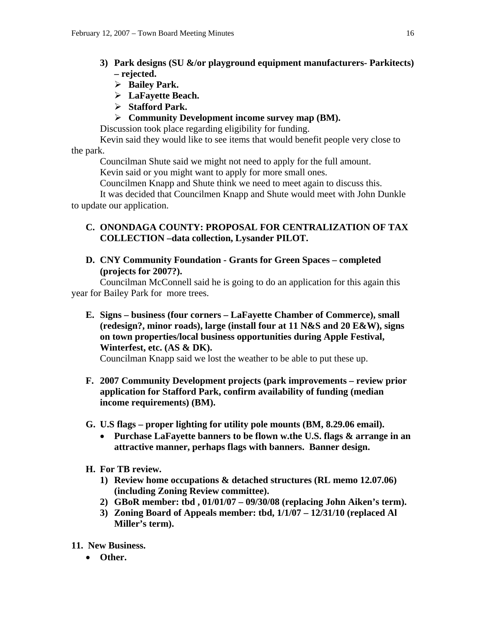- **3) Park designs (SU &/or playground equipment manufacturers- Parkitects) – rejected.** 
	- ¾ **Bailey Park.**
	- ¾ **LaFayette Beach.**
	- ¾ **Stafford Park.**
	- ¾ **Community Development income survey map (BM).**

Discussion took place regarding eligibility for funding.

Kevin said they would like to see items that would benefit people very close to the park.

Councilman Shute said we might not need to apply for the full amount.

Kevin said or you might want to apply for more small ones.

Councilmen Knapp and Shute think we need to meet again to discuss this.

 It was decided that Councilmen Knapp and Shute would meet with John Dunkle to update our application.

### **C. ONONDAGA COUNTY: PROPOSAL FOR CENTRALIZATION OF TAX COLLECTION –data collection, Lysander PILOT.**

**D. CNY Community Foundation - Grants for Green Spaces – completed (projects for 2007?).** 

Councilman McConnell said he is going to do an application for this again this year for Bailey Park for more trees.

**E. Signs – business (four corners – LaFayette Chamber of Commerce), small (redesign?, minor roads), large (install four at 11 N&S and 20 E&W), signs on town properties/local business opportunities during Apple Festival, Winterfest, etc. (AS & DK).** 

Councilman Knapp said we lost the weather to be able to put these up.

- **F. 2007 Community Development projects (park improvements review prior application for Stafford Park, confirm availability of funding (median income requirements) (BM).**
- **G. U.S flags proper lighting for utility pole mounts (BM, 8.29.06 email).** 
	- **Purchase LaFayette banners to be flown w.the U.S. flags & arrange in an attractive manner, perhaps flags with banners. Banner design.**
- **H. For TB review.** 
	- **1) Review home occupations & detached structures (RL memo 12.07.06) (including Zoning Review committee).**
	- **2) GBoR member: tbd , 01/01/07 09/30/08 (replacing John Aiken's term).**
	- **3) Zoning Board of Appeals member: tbd, 1/1/07 12/31/10 (replaced Al Miller's term).**
- **11. New Business.** 
	- **Other.**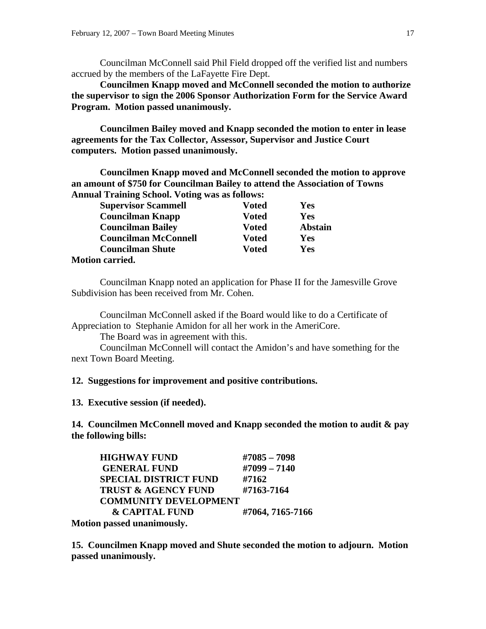Councilman McConnell said Phil Field dropped off the verified list and numbers accrued by the members of the LaFayette Fire Dept.

**Councilmen Knapp moved and McConnell seconded the motion to authorize the supervisor to sign the 2006 Sponsor Authorization Form for the Service Award Program. Motion passed unanimously.** 

 **Councilmen Bailey moved and Knapp seconded the motion to enter in lease agreements for the Tax Collector, Assessor, Supervisor and Justice Court computers. Motion passed unanimously.** 

**Councilmen Knapp moved and McConnell seconded the motion to approve an amount of \$750 for Councilman Bailey to attend the Association of Towns Annual Training School. Voting was as follows:** 

| <b>Supervisor Scammell</b>  | <b>Voted</b> | Yes            |
|-----------------------------|--------------|----------------|
| <b>Councilman Knapp</b>     | <b>Voted</b> | Yes            |
| <b>Councilman Bailey</b>    | <b>Voted</b> | <b>Abstain</b> |
| <b>Councilman McConnell</b> | <b>Voted</b> | Yes            |
| <b>Councilman Shute</b>     | <b>Voted</b> | Yes            |
| <b>Motion carried.</b>      |              |                |

 Councilman Knapp noted an application for Phase II for the Jamesville Grove Subdivision has been received from Mr. Cohen.

 Councilman McConnell asked if the Board would like to do a Certificate of Appreciation to Stephanie Amidon for all her work in the AmeriCore.

The Board was in agreement with this.

 Councilman McConnell will contact the Amidon's and have something for the next Town Board Meeting.

#### **12. Suggestions for improvement and positive contributions.**

**13. Executive session (if needed).** 

**14. Councilmen McConnell moved and Knapp seconded the motion to audit & pay the following bills:** 

|    | <b>HIGHWAY FUND</b>                                                                                             | $\#7085 - 7098$  |
|----|-----------------------------------------------------------------------------------------------------------------|------------------|
|    | <b>GENERAL FUND</b>                                                                                             | $\#7099 - 7140$  |
|    | <b>SPECIAL DISTRICT FUND</b>                                                                                    | #7162            |
|    | <b>TRUST &amp; AGENCY FUND</b>                                                                                  | #7163-7164       |
|    | <b>COMMUNITY DEVELOPMENT</b>                                                                                    |                  |
|    | <b>&amp; CAPITAL FUND</b>                                                                                       | #7064, 7165-7166 |
| -- | the contract of the contract of the contract of the contract of the contract of the contract of the contract of |                  |

**Motion passed unanimously.** 

**15. Councilmen Knapp moved and Shute seconded the motion to adjourn. Motion passed unanimously.**